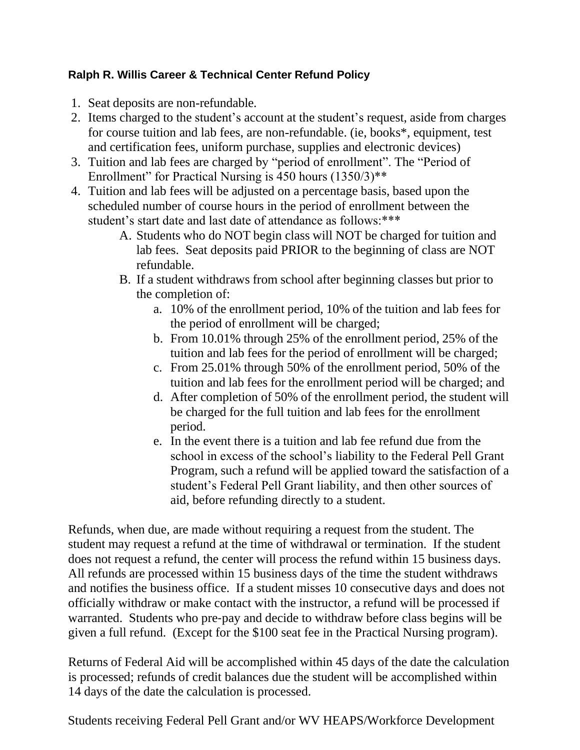## **Ralph R. Willis Career & Technical Center Refund Policy**

- 1. Seat deposits are non-refundable.
- 2. Items charged to the student's account at the student's request, aside from charges for course tuition and lab fees, are non-refundable. (ie, books\*, equipment, test and certification fees, uniform purchase, supplies and electronic devices)
- 3. Tuition and lab fees are charged by "period of enrollment". The "Period of Enrollment" for Practical Nursing is 450 hours  $(1350/3)$ <sup>\*\*</sup>
- 4. Tuition and lab fees will be adjusted on a percentage basis, based upon the scheduled number of course hours in the period of enrollment between the student's start date and last date of attendance as follows:\*\*\*
	- A. Students who do NOT begin class will NOT be charged for tuition and lab fees. Seat deposits paid PRIOR to the beginning of class are NOT refundable.
	- B. If a student withdraws from school after beginning classes but prior to the completion of:
		- a. 10% of the enrollment period, 10% of the tuition and lab fees for the period of enrollment will be charged;
		- b. From 10.01% through 25% of the enrollment period, 25% of the tuition and lab fees for the period of enrollment will be charged;
		- c. From 25.01% through 50% of the enrollment period, 50% of the tuition and lab fees for the enrollment period will be charged; and
		- d. After completion of 50% of the enrollment period, the student will be charged for the full tuition and lab fees for the enrollment period.
		- e. In the event there is a tuition and lab fee refund due from the school in excess of the school's liability to the Federal Pell Grant Program, such a refund will be applied toward the satisfaction of a student's Federal Pell Grant liability, and then other sources of aid, before refunding directly to a student.

Refunds, when due, are made without requiring a request from the student. The student may request a refund at the time of withdrawal or termination. If the student does not request a refund, the center will process the refund within 15 business days. All refunds are processed within 15 business days of the time the student withdraws and notifies the business office. If a student misses 10 consecutive days and does not officially withdraw or make contact with the instructor, a refund will be processed if warranted. Students who pre-pay and decide to withdraw before class begins will be given a full refund. (Except for the \$100 seat fee in the Practical Nursing program).

Returns of Federal Aid will be accomplished within 45 days of the date the calculation is processed; refunds of credit balances due the student will be accomplished within 14 days of the date the calculation is processed.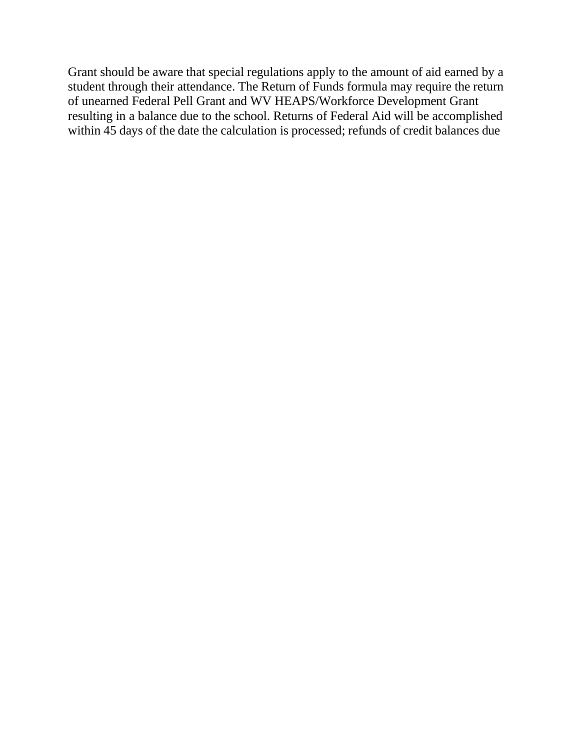Grant should be aware that special regulations apply to the amount of aid earned by a student through their attendance. The Return of Funds formula may require the return of unearned Federal Pell Grant and WV HEAPS/Workforce Development Grant resulting in a balance due to the school. Returns of Federal Aid will be accomplished within 45 days of the date the calculation is processed; refunds of credit balances due